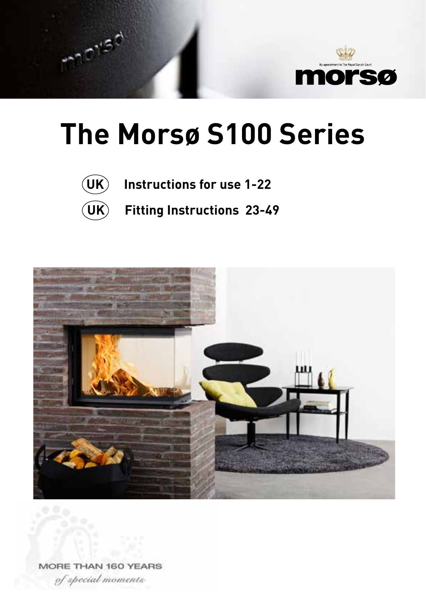

# **The Morsø S100 Series**



 $\gamma$ iad

**UK Instructions for use 1-22**

**UK Fitting Instructions 23-49**



MORE THAN 160 YEARS

of special moments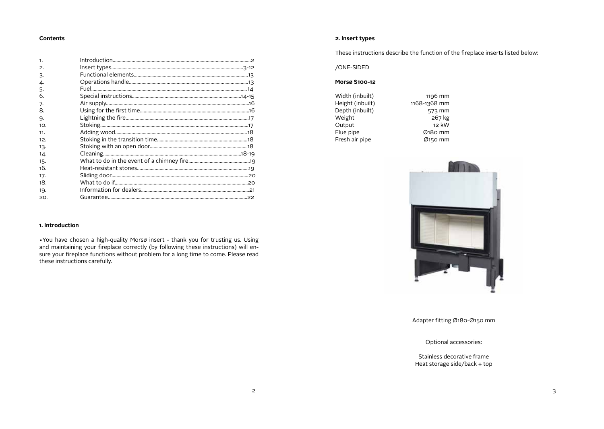## **Contents**

| 1.  |  |
|-----|--|
| 2.  |  |
| 3.  |  |
| 4.  |  |
| 5.  |  |
| 6.  |  |
| 7.  |  |
| 8.  |  |
| 9.  |  |
| 10. |  |
| 11. |  |
| 12. |  |
| 13. |  |
| 14. |  |
| 15. |  |
| 16. |  |
| 17. |  |
| 18. |  |
| 19. |  |
| 20. |  |
|     |  |

## **2. Insert types**

These instructions describe the function of the fireplace inserts listed below:

/ONE-SIDED

## **Morsø S100-12**

Width (inbuilt) 1196 mm<br>
Height (inbuilt) 1168-1368 mm Height (inbuilt) 1168-1368 mm<br>Depth (inbuilt) 573 mm Depth (inbuilt) 573 mm<br>Weight 267 kg Weight 267 kg<br>
267 kg<br>
212 kW Output<br>Flue pipe Fresh air pipe

 $\emptyset$ 180 mm<br> $\emptyset$ 150 mm



Adapter fitting Ø180-Ø150 mm

Optional accessories:

Stainless decorative frame Heat storage side/back + top

## **1. Introduction**

•You have chosen a high-quality Morsø insert - thank you for trusting us. Using and maintaining your fireplace correctly (by following these instructions) will ensure your fireplace functions without problem for a long time to come. Please read these instructions carefully.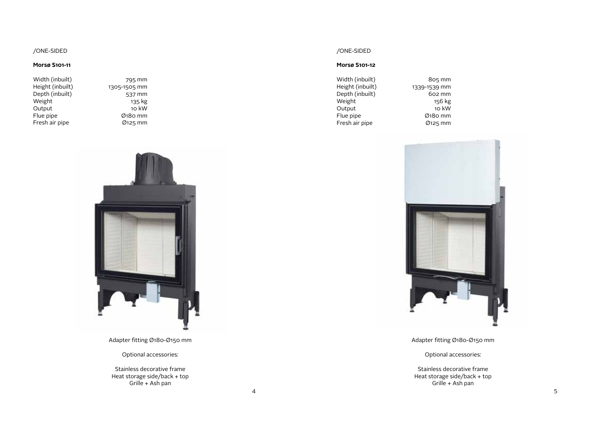## /ONE-SIDED

## **Morsø S101-11**

| Width (inbuilt)  |  |
|------------------|--|
| Height (inbuilt) |  |
| Depth (inbuilt)  |  |
| Weight           |  |
| Output           |  |
| Flue pipe        |  |
| Fresh air pipe   |  |

795 mm 1305-1505 mm 537 mm ss,<br>135 kg  $10 \text{ kW}$  $Ø$ 180 mm  $Ø125$  mm



Adapter fitting Ø180-Ø150 mm

Optional accessories:

Stainless decorative frame Heat storage side/back + top Grille + Ash pan

## /ONE-SIDED

## **Morsø S101-12**

| Width (inbuilt)  | 805 mm       |
|------------------|--------------|
| Height (inbuilt) | 1339-1539 mm |
| Depth (inbuilt)  | 602 mm       |
| Weight           | 156 kg       |
| Output           | 10 kW        |
| Flue pipe        | Ø180 mm      |
| Fresh air pipe   | $Ø$ 125 mm   |



Adapter fitting Ø180-Ø150 mm

Optional accessories:

Stainless decorative frame Heat storage side/back + top Grille + Ash pan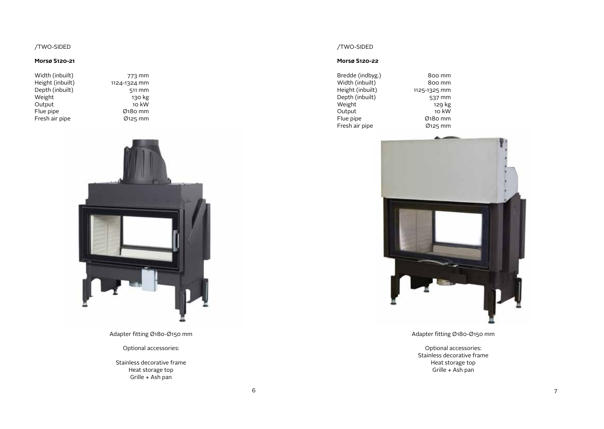## /TWO-SIDED

## **Morsø S120-21**

| Width (inbuilt)  |      |
|------------------|------|
| Height (inbuilt) | 1124 |
| Depth (inbuilt)  |      |
| Weight           |      |
| Output           |      |
| Flue pipe        |      |
| Fresh air pipe   |      |
|                  |      |

773 mm  $4$ -1324 mm  $511$  mm 130 kg  $\overline{10}$  kW  $Ø$ 180 mm  $Ø$ 125 mm



Adapter fitting Ø180-Ø150 mm

Optional accessories:

Stainless decorative frame Heat storage top Grille + Ash pan

## /TWO-SIDED

## **Morsø S120-22**

| Bredde (indbyg.) | 800 mm       |
|------------------|--------------|
| Width (inbuilt)  | 800 mm       |
| Height (inbuilt) | 1125-1325 mm |
| Depth (inbuilt)  | 537 mm       |
| Weight           | 129 kg       |
| Output           | 10 kW        |
| Flue pipe        | Ø180 mm      |
| Fresh air pipe   | Ø125 mm      |



Adapter fitting Ø180-Ø150 mm

Optional accessories: Stainless decorative frame Heat storage top Grille + Ash pan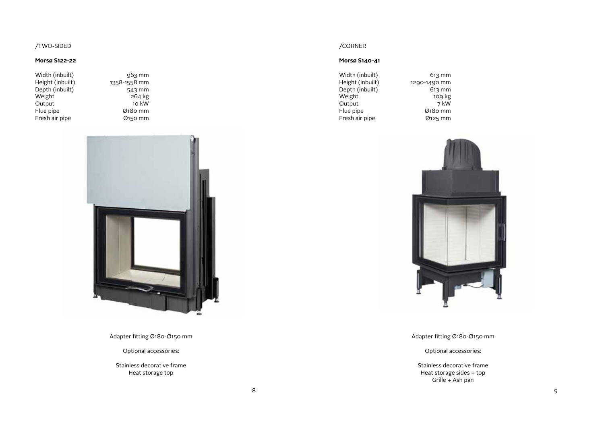## /TWO-SIDED

## **Morsø S122-22**

| Width (inbuilt)  | $963$ mm     |
|------------------|--------------|
| Height (inbuilt) | 1358-1558 mm |
| Depth (inbuilt)  | 543 mm       |
| Weight           | 264 kg       |
| Output           | 10 kW        |
| Flue pipe        | $Ø$ 180 mm   |
| Fresh air pipe   | Ø150 mm      |

 $543$  mm  $264$  kg  $10$  kW  $Ø$ 180 mm  $\emptyset$ 150 mm



Adapter fitting Ø180-Ø150 mm

Optional accessories:

Stainless decorative frame Heat storage top

## /CORNER

## **Morsø S140-41**

| Width (inbuilt)  | $613 \text{ mm}$ |
|------------------|------------------|
| Height (inbuilt) | 1290-1490 mm     |
| Depth (inbuilt)  | $613$ mm         |
| Weight           | 109 kg           |
| Output           | 7 kW             |
| Flue pipe        | Ø180 mm          |
| Fresh air pipe   | Ø125 mm          |



Adapter fitting Ø180-Ø150 mm

Optional accessories:

Stainless decorative frame Heat storage sides + top Grille + Ash pan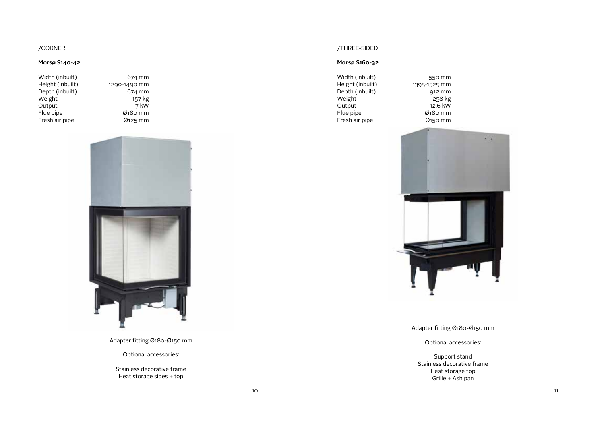## /CORNER

## **Morsø S140-42**

| Width (inbuilt)  |
|------------------|
| Height (inbuilt) |
| Depth (inbuilt)  |
| Weight           |
| Output           |
| Flue pipe        |
| Fresh air pipe   |

674 mm  $1290 - 1490$  mm  $674$  mm 157 kg  $7$  kW  $\overline{O}$ 180 mm  $Ø$ 125 mm



Adapter fitting Ø180-Ø150 mm

Optional accessories:

Stainless decorative frame Heat storage sides + top

## /THREE-SIDED

## **Morsø S160-32**

| Width (inbuilt)  |
|------------------|
| Height (inbuilt) |
| Depth (inbuilt)  |
| Weight           |
| Output           |
| Flue pipe        |
| Fresh air pipe   |
|                  |

550 mm 1395-1525 mm  $912$  mm  $258$  kg  $12.6$  kW  $\overline{0}$ 180 mm  $\emptyset$ 150 mm



Adapter fitting Ø180-Ø150 mm

Optional accessories:

Support stand Stainless decorative frame Heat storage top Grille + Ash pan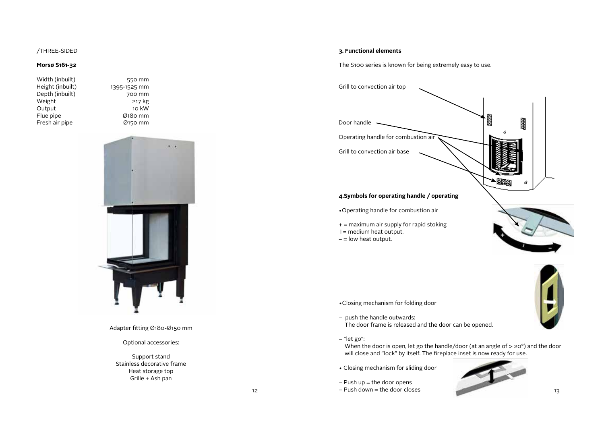## /THREE-SIDED

## **Morsø S161-32**

Width (inbuilt) 550 mm Height (inbuilt) 1395-1525 mm Depth (inbuilt) 700 mm<br>Weight 217 kg Weight 217 kg<br>Output 217 kg<br>Output 10 kW Output<br>Flue pipe  $F$ resh air pipe

 $\emptyset$ 180 mm<br> $\emptyset$ 150 mm



Adapter fitting Ø180-Ø150 mm

Optional accessories:

Support stand Stainless decorative frame Heat storage top Grille + Ash pan

The S100 series is known for being extremely easy to use.

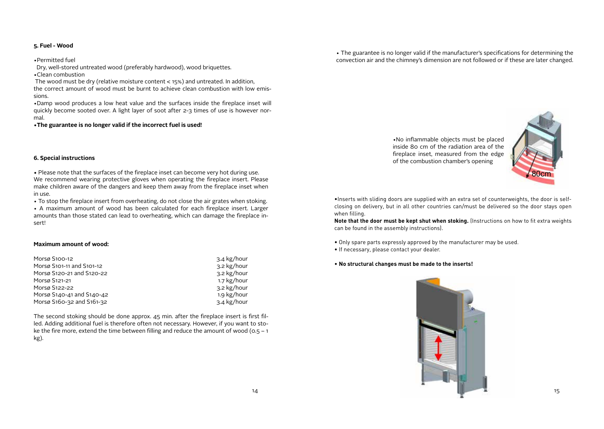## **5. Fuel - Wood**

•Permitted fuel

 Dry, well-stored untreated wood (preferably hardwood), wood briquettes. •Clean combustion

 The wood must be dry (relative moisture content < 15%) and untreated. In addition, the correct amount of wood must be burnt to achieve clean combustion with low emis-

sions.

•Damp wood produces a low heat value and the surfaces inside the fireplace inset will quickly become sooted over. A light layer of soot after 2-3 times of use is however normal.

**•The guarantee is no longer valid if the incorrect fuel is used!**

**6. Special instructions**

**•** Please note that the surfaces of the fireplace inset can become very hot during use. We recommend wearing protective gloves when operating the fireplace insert. Please make children aware of the dangers and keep them away from the fireplace inset when in use.

• To stop the fireplace insert from overheating, do not close the air grates when stoking.

• A maximum amount of wood has been calculated for each fireplace insert. Larger amounts than those stated can lead to overheating, which can damage the fireplace insert!

#### **Maximum amount of wood:**

| Morsø S100-12             | $3.4$ kg/hour |
|---------------------------|---------------|
| Morsø S101-11 and S101-12 | 3.2 kg/hour   |
| Morsø S120-21 and S120-22 | 3.2 kg/hour   |
| Morsø S121-21             | 1.7 kg/hour   |
| Morsø S122-22             | 3.2 kg/hour   |
| Morsø S140-41 and S140-42 | 1.9 kg/hour   |
| Morsø S160-32 and S161-32 | $3.4$ kg/hour |

The second stoking should be done approx. 45 min. after the fireplace insert is first filled. Adding additional fuel is therefore often not necessary. However, if you want to stoke the fire more, extend the time between filling and reduce the amount of wood ( $0.5 - 1$ ) kg).

 $14$ 

• The guarantee is no longer valid if the manufacturer's specifications for determining the convection air and the chimney's dimension are not followed or if these are later changed.

> •No inflammable objects must be placed inside 80 cm of the radiation area of the fireplace inset, measured from the edge of the combustion chamber's opening



•Inserts with sliding doors are supplied with an extra set of counterweights, the door is selfclosing on delivery, but in all other countries can/must be delivered so the door stays open when filling.

**Note that the door must be kept shut when stoking.** (Instructions on how to fit extra weights can be found in the assembly instructions).

- Only spare parts expressly approved by the manufacturer may be used.
- If necessary, please contact your dealer.

#### • **No structural changes must be made to the inserts!**

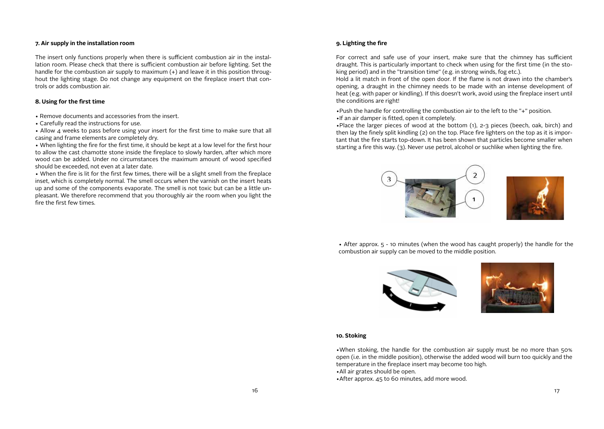## **7. Air supply in the installation room**

The insert only functions properly when there is sufficient combustion air in the installation room. Please check that there is sufficient combustion air before lighting. Set the handle for the combustion air supply to maximum (+) and leave it in this position throughout the lighting stage. Do not change any equipment on the fireplace insert that controls or adds combustion air.

## **8. Using for the first time**

- Remove documents and accessories from the insert.
- Carefully read the instructions for use.

• Allow 4 weeks to pass before using your insert for the first time to make sure that all casing and frame elements are completely dry.

• When lighting the fire for the first time, it should be kept at a low level for the first hour to allow the cast chamotte stone inside the fireplace to slowly harden, after which more wood can be added. Under no circumstances the maximum amount of wood specified should be exceeded, not even at a later date.

• When the fire is lit for the first few times, there will be a slight smell from the fireplace inset, which is completely normal. The smell occurs when the varnish on the insert heats up and some of the components evaporate. The smell is not toxic but can be a little unpleasant. We therefore recommend that you thoroughly air the room when you light the fire the first few times.

## **9. Lighting the fire**

For correct and safe use of your insert, make sure that the chimney has sufficient draught. This is particularly important to check when using for the first time (in the stoking period) and in the "transition time" (e.g. in strong winds, fog etc.).

Hold a lit match in front of the open door. If the flame is not drawn into the chamber's opening, a draught in the chimney needs to be made with an intense development of heat (e.g. with paper or kindling). If this doesn't work, avoid using the fireplace insert until the conditions are right!

•Push the handle for controlling the combustion air to the left to the "+" position.

•If an air damper is fitted, open it completely.

•Place the larger pieces of wood at the bottom (1), 2-3 pieces (beech, oak, birch) and then lay the finely split kindling (2) on the top. Place fire lighters on the top as it is important that the fire starts top-down. It has been shown that particles become smaller when starting a fire this way. (3). Never use petrol, alcohol or suchlike when lighting the fire.



• After approx. 5 - 10 minutes (when the wood has caught properly) the handle for the combustion air supply can be moved to the middle position.





#### **10. Stoking**

•When stoking, the handle for the combustion air supply must be no more than 50% open (i.e. in the middle position), otherwise the added wood will burn too quickly and the temperature in the fireplace insert may become too high.

- •All air grates should be open.
- •After approx. 45 to 60 minutes, add more wood.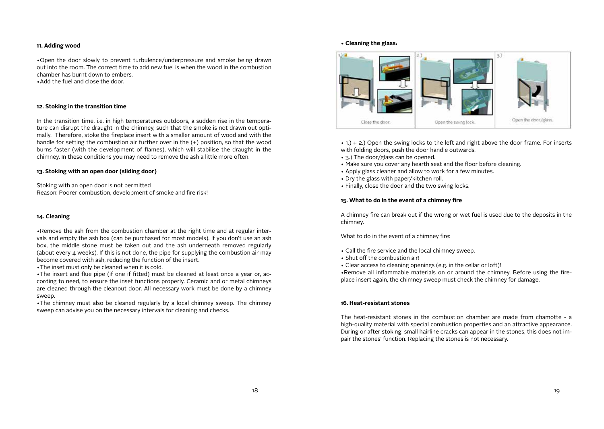#### **11. Adding wood**

•Open the door slowly to prevent turbulence/underpressure and smoke being drawn out into the room. The correct time to add new fuel is when the wood in the combustion chamber has burnt down to embers. •Add the fuel and close the door.

#### **12. Stoking in the transition time**

In the transition time, i.e. in high temperatures outdoors, a sudden rise in the temperature can disrupt the draught in the chimney, such that the smoke is not drawn out optimally. Therefore, stoke the fireplace insert with a smaller amount of wood and with the handle for setting the combustion air further over in the (+) position, so that the wood burns faster (with the development of flames), which will stabilise the draught in the chimney. In these conditions you may need to remove the ash a little more often.

## **13. Stoking with an open door (sliding door)**

Stoking with an open door is not permitted Reason: Poorer combustion, development of smoke and fire risk!

#### **14. Cleaning**

•Remove the ash from the combustion chamber at the right time and at regular intervals and empty the ash box (can be purchased for most models). If you don't use an ash box, the middle stone must be taken out and the ash underneath removed regularly (about every  $\Delta$  weeks). If this is not done, the pipe for supplying the combustion air may become covered with ash, reducing the function of the insert.

•The inset must only be cleaned when it is cold.

•The insert and flue pipe (if one if fitted) must be cleaned at least once a year or, according to need, to ensure the inset functions properly. Ceramic and or metal chimneys are cleaned through the cleanout door. All necessary work must be done by a chimney sweep.

•The chimney must also be cleaned regularly by a local chimney sweep. The chimney sweep can advise you on the necessary intervals for cleaning and checks.

#### **• Cleaning the glass:**



• 1.) + 2.) Open the swing locks to the left and right above the door frame. For inserts with folding doors, push the door handle outwards.

- 3.) The door/glass can be opened.
- Make sure you cover any hearth seat and the floor before cleaning.
- Apply glass cleaner and allow to work for a few minutes.
- Dry the glass with paper/kitchen roll.
- Finally, close the door and the two swing locks.

## **15. What to do in the event of a chimney fire**

A chimney fire can break out if the wrong or wet fuel is used due to the deposits in the chimney.

What to do in the event of a chimney fire:

- Call the fire service and the local chimney sweep.
- Shut off the combustion air!
- Clear access to cleaning openings (e.g. in the cellar or loft)!

•Remove all inflammable materials on or around the chimney. Before using the fireplace insert again, the chimney sweep must check the chimney for damage.

#### **16. Heat-resistant stones**

The heat-resistant stones in the combustion chamber are made from chamotte - a high-quality material with special combustion properties and an attractive appearance. During or after stoking, small hairline cracks can appear in the stones, this does not impair the stones' function. Replacing the stones is not necessary.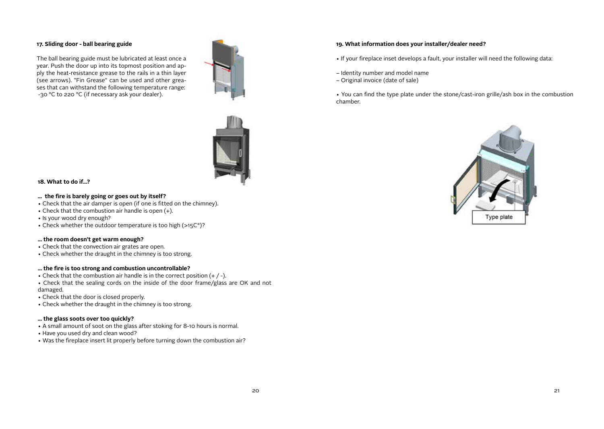## **17. Sliding door - ball bearing guide**

The ball bearing guide must be lubricated at least once a year. Push the door up into its topmost position and apply the heat-resistance grease to the rails in a thin layer (see arrows). "Fin Grease" can be used and other greases that can withstand the following temperature range: -30 °C to 220 °C (if necessary ask your dealer).





#### **18. What to do if...?**

#### **... the fire is barely going or goes out by itself?**

- Check that the air damper is open (if one is fitted on the chimney).
- Check that the combustion air handle is open (+).
- Is your wood dry enough?
- Check whether the outdoor temperature is too high (>15C°)?

#### **... the room doesn't get warm enough?**

- Check that the convection air grates are open.
- Check whether the draught in the chimney is too strong.

## **... the fire is too strong and combustion uncontrollable?**

- Check that the combustion air handle is in the correct position  $(+ / -)$ .
- Check that the sealing cords on the inside of the door frame/glass are OK and not damaged.
- Check that the door is closed properly.
- Check whether the draught in the chimney is too strong.

## **... the glass soots over too quickly?**

- A small amount of soot on the glass after stoking for 8-10 hours is normal.
- Have you used dry and clean wood?
- Was the fireplace insert lit properly before turning down the combustion air?

## **19. What information does your installer/dealer need?**

- If your fireplace inset develops a fault, your installer will need the following data:
- Identity number and model name
- Original invoice (date of sale)
- You can find the type plate under the stone/cast-iron grille/ash box in the combustion chamber.

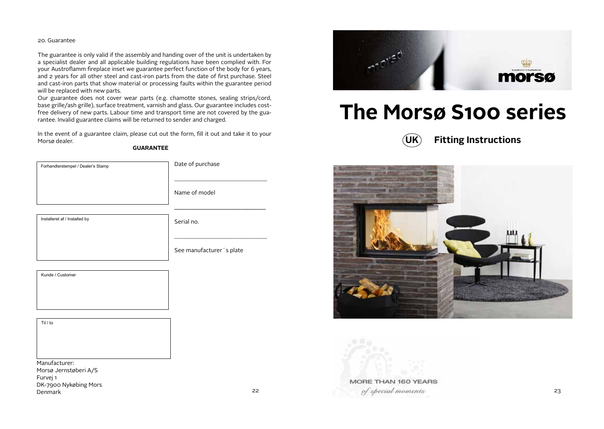### 20. Guarantee

Furvej 1

Denmark

DK-7900 Nykøbing Mors

The guarantee is only valid if the assembly and handing over of the unit is undertaken by a specialist dealer and all applicable building regulations have been complied with. For your Austroflamm fireplace inset we guarantee perfect function of the body for 6 years, and 2 years for all other steel and cast-iron parts from the date of first purchase. Steel and cast-iron parts that show material or processing faults within the guarantee period will be replaced with new parts.

Our guarantee does not cover wear parts (e.g. chamotte stones, sealing strips/cord, base grille/ash grille), surface treatment, varnish and glass. Our guarantee includes costfree delivery of new parts. Labour time and transport time are not covered by the guarantee. Invalid guarantee claims will be returned to sender and charged.

In the event of a guarantee claim, please cut out the form, fill it out and take it to your Morsø dealer.

## **GUARANTEE**

| Forhandlerstempel / Dealer's Stamp     | Date of purchase         |
|----------------------------------------|--------------------------|
|                                        | Name of model            |
|                                        |                          |
| Installeret af / Installed by          | Serial no.               |
|                                        |                          |
|                                        | See manufacturer's plate |
|                                        |                          |
| Kunde / Customer                       |                          |
|                                        |                          |
|                                        |                          |
| Til / to                               |                          |
|                                        |                          |
|                                        |                          |
|                                        |                          |
| Manufacturer:<br>Morsø Jernstøberi A/S |                          |



## **The Morsø S100 series**





MORE THAN 160 YEARS

22 of special moments 23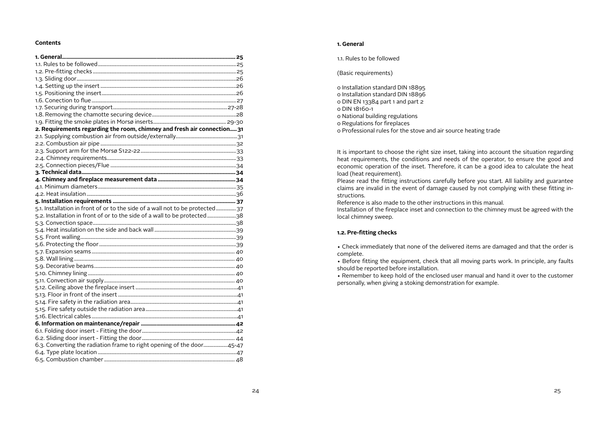#### **Contents**

| 2. Requirements regarding the room, chimney and fresh air connection 31      |  |
|------------------------------------------------------------------------------|--|
|                                                                              |  |
|                                                                              |  |
|                                                                              |  |
|                                                                              |  |
|                                                                              |  |
|                                                                              |  |
|                                                                              |  |
|                                                                              |  |
|                                                                              |  |
|                                                                              |  |
| 5.1. Installation in front of or to the side of a wall not to be protected37 |  |
| 5.2. Installation in front of or to the side of a wall to be protected38     |  |
|                                                                              |  |
|                                                                              |  |
|                                                                              |  |
|                                                                              |  |
|                                                                              |  |
|                                                                              |  |
|                                                                              |  |
|                                                                              |  |
|                                                                              |  |
|                                                                              |  |
|                                                                              |  |
|                                                                              |  |
|                                                                              |  |
|                                                                              |  |
|                                                                              |  |
|                                                                              |  |
| 6.3. Converting the radiation frame to right opening of the door45-47        |  |
|                                                                              |  |
|                                                                              |  |
|                                                                              |  |

## **1. General**

1.1. Rules to be followed

(Basic requirements)

o Installation standard DIN 18895 o Installation standard DIN 18896 o DIN EN 13384 part 1 and part 2 o DIN 18160-1 o National building regulations o Regulations for fireplaces o Professional rules for the stove and air source heating trade

It is important to choose the right size inset, taking into account the situation regarding heat requirements, the conditions and needs of the operator, to ensure the good and economic operation of the inset. Therefore, it can be a good idea to calculate the heat load (heat requirement).

Please read the fitting instructions carefully before you start. All liability and guarantee claims are invalid in the event of damage caused by not complying with these fitting instructions.

Reference is also made to the other instructions in this manual.

Installation of the fireplace inset and connection to the chimney must be agreed with the local chimney sweep.

## **1.2. Pre-fitting checks**

• Check immediately that none of the delivered items are damaged and that the order is complete.

• Before fitting the equipment, check that all moving parts work. In principle, any faults should be reported before installation.

• Remember to keep hold of the enclosed user manual and hand it over to the customer personally, when giving a stoking demonstration for example.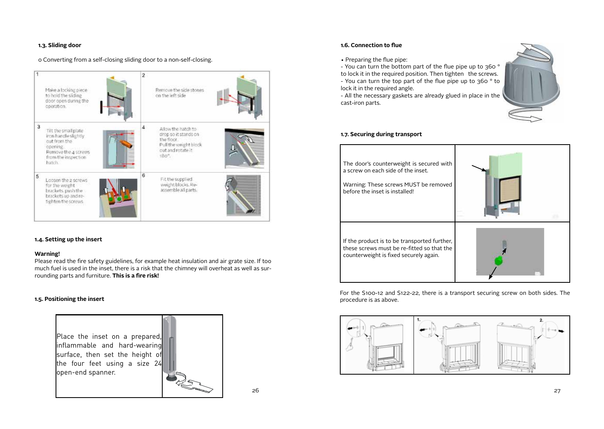## **1.3. Sliding door**

## o Converting from a self-closing sliding door to a non-self-closing.



## **1.4. Setting up the insert**

## **Warning!**

Please read the fire safety guidelines, for example heat insulation and air grate size. If too much fuel is used in the inset, there is a risk that the chimney will overheat as well as surrounding parts and furniture. **This is a fire risk!**

## **1.5. Positioning the insert**



• Preparing the flue pipe:

- You can turn the bottom part of the flue pipe up to 360 ° to lock it in the required position. Then tighten the screws. - You can turn the top part of the flue pipe up to 360 ° to

lock it in the required angle.

- All the necessary gaskets are already glued in place in the cast-iron parts.



## **1.7. Securing during transport**



For the S100-12 and S122-22, there is a transport securing screw on both sides. The procedure is as above.

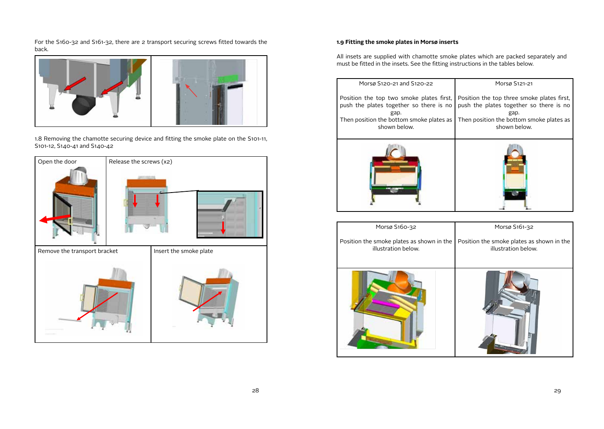For the S160-32 and S161-32, there are 2 transport securing screws fitted towards the back.



1.8 Removing the chamotte securing device and fitting the smoke plate on the S101-11, S101-12, S140-41 and S140-42



## **1.9 Fitting the smoke plates in Morsø inserts**

All insets are supplied with chamotte smoke plates which are packed separately and must be fitted in the insets. See the fitting instructions in the tables below.

| Morsø S120-21 and S120-22                                                                                                                               | Morsø S121-21                                                                                                                                             |
|---------------------------------------------------------------------------------------------------------------------------------------------------------|-----------------------------------------------------------------------------------------------------------------------------------------------------------|
| Position the top two smoke plates first,<br>push the plates together so there is no<br>gap.<br>Then position the bottom smoke plates as<br>shown below. | Position the top three smoke plates first,<br>push the plates together so there is no<br>gap.<br>Then position the bottom smoke plates as<br>shown below. |
|                                                                                                                                                         |                                                                                                                                                           |
| Morsø S160-32                                                                                                                                           | Morsø S161-32                                                                                                                                             |
| Position the smoke plates as shown in the<br>illustration below.                                                                                        | Position the smoke plates as shown in the<br>illustration below.                                                                                          |
|                                                                                                                                                         |                                                                                                                                                           |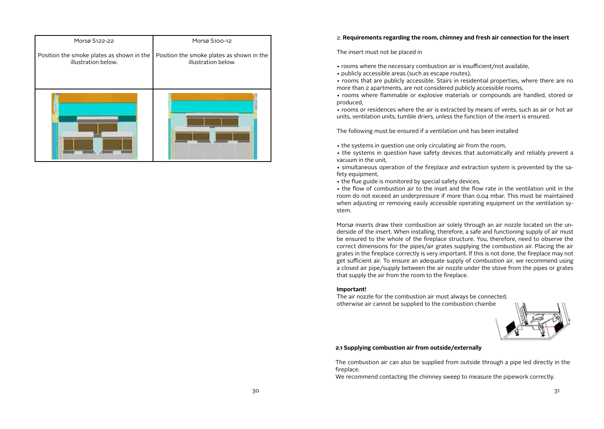| Morsø S122-22                                                            | Morsø S100-12                                                    |
|--------------------------------------------------------------------------|------------------------------------------------------------------|
| Position the smoke plates as shown in the $\vert$<br>illustration below. | Position the smoke plates as shown in the<br>illustration below. |
|                                                                          |                                                                  |

## 2. **Requirements regarding the room, chimney and fresh air connection for the insert**

#### The insert must not be placed in

- rooms where the necessary combustion air is insufficient/not available,
- publicly accessible areas (such as escape routes),
- rooms that are publicly accessible. Stairs in residential properties, where there are no more than 2 apartments, are not considered publicly accessible rooms,
- rooms where flammable or explosive materials or compounds are handled, stored or produced,

• rooms or residences where the air is extracted by means of vents, such as air or hot air units, ventilation units, tumble driers, unless the function of the insert is ensured.

The following must be ensured if a ventilation unit has been installed

- the systems in question use only circulating air from the room,
- the systems in question have safety devices that automatically and reliably prevent a vacuum in the unit,
- simultaneous operation of the fireplace and extraction system is prevented by the safety equipment,
- the flue guide is monitored by special safety devices,

• the flow of combustion air to the inset and the flow rate in the ventilation unit in the room do not exceed an underpressure if more than 0.04 mbar. This must be maintained when adjusting or removing easily accessible operating equipment on the ventilation system.

Morsø inserts draw their combustion air solely through an air nozzle located on the underside of the insert. When installing, therefore, a safe and functioning supply of air must be ensured to the whole of the fireplace structure. You, therefore, need to observe the correct dimensions for the pipes/air grates supplying the combustion air. Placing the air grates in the fireplace correctly is very important. If this is not done, the fireplace may not get sufficient air. To ensure an adequate supply of combustion air, we recommend using a closed air pipe/supply between the air nozzle under the stove from the pipes or grates that supply the air from the room to the fireplace.

#### **Important!**

The air nozzle for the combustion air must always be connected, otherwise air cannot be supplied to the combustion chambe



## **2.1 Supplying combustion air from outside/externally**

The combustion air can also be supplied from outside through a pipe led directly in the fireplace.

We recommend contacting the chimney sweep to measure the pipework correctly.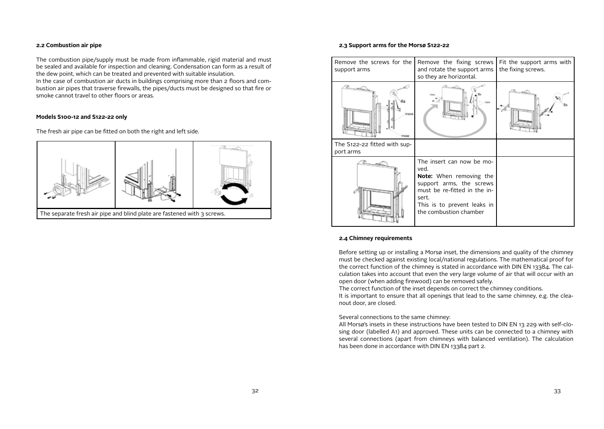#### **2.2 Combustion air pipe**

The combustion pipe/supply must be made from inflammable, rigid material and must be sealed and available for inspection and cleaning. Condensation can form as a result of the dew point, which can be treated and prevented with suitable insulation.

In the case of combustion air ducts in buildings comprising more than 2 floors and combustion air pipes that traverse firewalls, the pipes/ducts must be designed so that fire or smoke cannot travel to other floors or areas.

#### **Models S100-12 and S122-22 only**

The fresh air pipe can be fitted on both the right and left side.



#### **2.3 Support arms for the Morsø S122-22**



#### **2.4 Chimney requirements**

Before setting up or installing a Morsø inset, the dimensions and quality of the chimney must be checked against existing local/national regulations. The mathematical proof for the correct function of the chimney is stated in accordance with DIN EN 13384. The calculation takes into account that even the very large volume of air that will occur with an open door (when adding firewood) can be removed safely.

The correct function of the inset depends on correct the chimney conditions.

It is important to ensure that all openings that lead to the same chimney, e.g. the cleanout door, are closed.

#### Several connections to the same chimney:

All Morsø's insets in these instructions have been tested to DIN EN 13 229 with self-closing door (labelled A1) and approved. These units can be connected to a chimney with several connections (apart from chimneys with balanced ventilation). The calculation has been done in accordance with DIN EN 13384 part 2.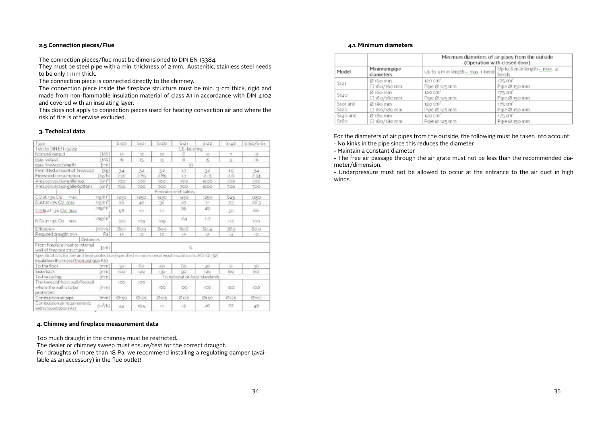## **2.5 Connection pieces/Flue**

The connection pieces/flue must be dimensioned to DIN EN 13384.

They must be steel pipe with a min. thickness of 2 mm. Austenitic, stainless steel needs to be only 1 mm thick.

The connection piece is connected directly to the chimney.

The connection piece inside the fireplace structure must be min. 3 cm thick, rigid and made from non-flammable insulation material of class A1 in accordance with DIN 4102 and covered with an insulating layer.

This does not apply to connection pieces used for heating convection air and where the risk of fire is otherwise excluded.

## **3. Technical data**

| Type                                                                                                                                          | 5100   | SIO1                          | 5120      | 5121                  | 5:22 | Stab            | 5160/5161       |  |  |
|-----------------------------------------------------------------------------------------------------------------------------------------------|--------|-------------------------------|-----------|-----------------------|------|-----------------|-----------------|--|--|
| Test to DIN EN 13229                                                                                                                          |        |                               |           | CE-labeling           |      |                 |                 |  |  |
| Nominal output<br>(BVV)                                                                                                                       | t2     | 1O                            | 1O        | б                     | 1O   | 7               | $12^{\circ}$    |  |  |
| W.<br>max.output                                                                                                                              | 16     | 15                            | 栋         | g                     | 鴙    | -9              | 16 <sup>°</sup> |  |  |
| max firewoodlength<br>cmi                                                                                                                     |        | $\mathbb{R}^n$                |           |                       |      |                 |                 |  |  |
| Ferm ttedamount of firewood<br>[kg]                                                                                                           | $-2.4$ | 32                            | 32        | 1.7                   | 32   | 1.9             | 34              |  |  |
| Firewood consumption<br>kg/h)                                                                                                                 | 256    | 285                           | 285       | i.z                   | 2.13 | 20 <sup>o</sup> | 2.34            |  |  |
| $[cm]^2$<br>Area convection grille too                                                                                                        | 700    | 700                           | YOO:      | 700                   | 1000 | 700             | 700             |  |  |
| $\lfloor$ cm <sup>2</sup> $\rfloor$<br>Area convection grille bottom                                                                          | 700    | 700                           | YOG       | 700                   | 1000 | 700             | 700             |  |  |
|                                                                                                                                               |        |                               |           | Emission limit values |      |                 |                 |  |  |
| ng/m <sup>a</sup> l<br>CO at 13% Oz<br>max.                                                                                                   | 1250   | 1250                          | 1250      | 1250                  | 1250 | 5z <sub>5</sub> | 1250            |  |  |
| ng/m <sup>3</sup><br>Dust at 19% O2_max                                                                                                       | 26.    | 40                            | 76        | 27                    | 21   | 23              | 25.3            |  |  |
| mg/m <sup>2</sup><br>CriHii at 13% Q2 mas                                                                                                     | 53     | 335                           | 111       | 95                    | 49   | 50              | 66              |  |  |
| mg/m<br>NOx at 198 O2 max.                                                                                                                    | (20)   | 109                           | 109       | toa                   | 117  | 112             | ioo             |  |  |
| Efficiency<br>min.w.                                                                                                                          | Bo.1   | Ban                           | 8cg       | <b>BoB</b>            | 90.4 | 789             | 800             |  |  |
| Required draught min.<br>Pal                                                                                                                  | 12     | 12                            | 12        | 12                    | 32   | 14              | $12-$           |  |  |
| <b>Distances</b>                                                                                                                              |        |                               |           |                       |      |                 |                 |  |  |
| From fireplace inset to internal<br>[cm]<br>wall of fireolace structure                                                                       | 6      |                               |           |                       |      |                 |                 |  |  |
| Specifications for fire and heat protection (specified in num mineral wool risulation to AGI-Q 132).<br>Insulation thickness (Promasi 950 KS) |        |                               |           |                       |      |                 |                 |  |  |
| To the floor<br>reen)                                                                                                                         | 30     | 65                            | $20 -$    | 6ö                    | 40   | $\circ$         | 30              |  |  |
| Side/back<br>erient)                                                                                                                          | 100    | 120                           | 137       | 95                    | 320  | 60              | 60              |  |  |
| To the celling<br>men                                                                                                                         |        | o national or local standards |           |                       |      |                 |                 |  |  |
| Thickness of front will/friewall<br>where the wall is to be<br>(rivin)<br>protected                                                           | IOO.   | IOO:                          | ICC.      | ioo:                  | loo  | 100             | 100             |  |  |
| Combustion air pipe<br>Tenent                                                                                                                 | Øiso   | Ø126                          | $Q_{12}e$ | @125                  | Øiso | $C$ 136         | Ø15G            |  |  |
| Combustion air requirements<br>$[m^3/h]$<br>with closed door (A1)                                                                             | 44     | 10.5                          | 17.       | 12                    | 16O  | 22              | 48              |  |  |

## **4. Chimney and fireplace measurement data**

Too much draught in the chimney must be restricted.

The dealer or chimney sweep must ensure/test for the correct draught. For draughts of more than 18 Pa, we recommend installing a regulating damper (available as an accessory) in the flue outlet!

#### **4.1. Minimum diameters**

|          |                           | Minimum diameters of air pipes from the outside<br>(Operation with closed door) |                     |  |  |  |  |
|----------|---------------------------|---------------------------------------------------------------------------------|---------------------|--|--|--|--|
| Model    | Minimum pipe<br>diameters | Up to 3 m in length - max. 1 bend Up to 6 m in length - max. 2                  |                     |  |  |  |  |
| S121     | Ø 150 mm                  | 120 cm <sup>2</sup>                                                             | 175 cm <sup>2</sup> |  |  |  |  |
|          | $\Box$ 160/160 mm         | Pipe Ø 125 mm                                                                   | Pipe Ø 150 mm       |  |  |  |  |
| 5140     | $Ø$ 160 mm                | 120 cm <sup>-</sup>                                                             | 175 cm <sup>-</sup> |  |  |  |  |
|          | □ 16o/16o mm              | Pipe Ø 125 mm                                                                   | Pipe Ø 150 mm       |  |  |  |  |
| Stot and | Ø 180 mm                  | 120 cm <sup>e</sup>                                                             | 175 cm <sup>2</sup> |  |  |  |  |
| S120     | □ 18o/18o mm              | Pipe Ø 125 mm                                                                   | Pipe Ø 150 mm       |  |  |  |  |
| S140 and | Ø 180 mm                  | 120 Cm <sup>2</sup>                                                             | 175 Cm <sup>2</sup> |  |  |  |  |
| 5160     | □ 18o/18o mm              | Pipe Ø 125 mm                                                                   | Pipe Ø 150 mm       |  |  |  |  |

For the diameters of air pipes from the outside, the following must be taken into account:

- No kinks in the pipe since this reduces the diameter

- Maintain a constant diameter

- The free air passage through the air grate must not be less than the recommended diameter/dimension.

- Underpressure must not be allowed to occur at the entrance to the air duct in high winds.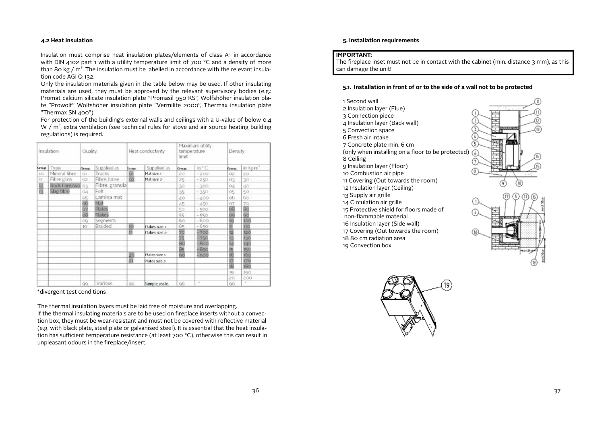## **4.2 Heat insulation**

Insulation must comprise heat insulation plates/elements of class A1 in accordance with DIN 4102 part 1 with a utility temperature limit of 700 °C and a density of more than 80 kg /  $m<sup>3</sup>$ . The insulation must be labelled in accordance with the relevant insulation code AGI Q 132.

Only the insulation materials given in the table below may be used. If other insulating materials are used, they must be approved by the relevant supervisory bodies (e.g.: Promat calcium silicate insulation plate "Promasil 950 KS", Wolfshöher insulation plate "Prowolf" Wolfshöher insulation plate "Vermilite 2000", Thermax insulation plate "Thermax SN 400").

For protection of the building's external walls and ceilings with a U-value of below 0.4 W /  $m^2$ , extra ventilation (see technical rules for stove and air source heating building regulations) is required.

| Insulation |               | Quality    |                | Heat conductivity |               | Maximum utility<br>temperature<br>imit. |        | Density |                      |
|------------|---------------|------------|----------------|-------------------|---------------|-----------------------------------------|--------|---------|----------------------|
| Group      | Type          | Group.     | Supplied as    | Georgi            | Supplied as   | Group.                                  | 油合症    | Group.  | in kg m <sup>2</sup> |
| 10         | Mineral fibre | O1         | Tracks         | ₫                 | Mat size 1    | 20                                      | $-200$ | O2      | 20.                  |
| 11         | Fibre glass:  | O2         | Fibre, loose   | <b>OS</b>         | Mat size 2    | 25                                      | $-250$ | 03      | 30                   |
| 膃          | Rock fibre/wo | 03         | Fibre, granula |                   |               | 30                                      | $-300$ | O(1)    | 40                   |
| 冦          | Slag filme    | $\Omega$ 4 | Felt           |                   |               | 35.                                     | $+350$ | O5      | 50                   |
|            |               |            | Lamina mat     |                   |               | 40                                      | $-400$ | $^{66}$ | 66                   |
|            |               | 2話題        | Mat            |                   |               | 45                                      | $-450$ | 07      |                      |
|            |               |            | Plates         |                   |               | 50                                      | $-500$ | öä      | 谷園                   |
|            |               | ö8         | Flakes         |                   |               | 55                                      | $-550$ | öğ      | $\overline{90}$      |
|            |               | OG.        | Segments       |                   |               | 60                                      | $-600$ |         | 100                  |
|            |               | 10         | Braided        | 巠                 | Flakes size 1 | 65                                      | $-650$ | 照       | 110                  |
|            |               |            |                | 翁                 | Flakes size 2 | 跑                                       | $-700$ | 医肠膜     | 120                  |
|            |               |            |                |                   |               | 25<br>80                                | 750    |         | 130                  |
|            |               |            |                |                   |               |                                         | 800    |         | 140                  |
|            |               |            |                |                   |               | BS.                                     | $-850$ | 医肠尿     | 150                  |
|            |               |            |                | 銐                 | Plates size 1 | 90                                      | $-900$ |         | 166                  |
|            |               |            |                | 齒                 | Plates size 2 |                                         |        |         | 170                  |
|            |               |            |                |                   |               |                                         |        | 遐       | 180                  |
|            |               |            |                |                   |               |                                         |        | 19      | tgo                  |
|            |               |            |                |                   |               |                                         |        | 20      | 200                  |
|            |               | 99.        | Various        | Q(1)              | Simple instr. | 99                                      | $\sim$ | 99      | $\sim$               |

\*divergent test conditions

The thermal insulation layers must be laid free of moisture and overlapping.

If the thermal insulating materials are to be used on fireplace inserts without a convection box, they must be wear-resistant and must not be covered with reflective material (e.g. with black plate, steel plate or galvanised steel). It is essential that the heat insulation has sufficient temperature resistance (at least 700 °C), otherwise this can result in unpleasant odours in the fireplace/insert.

## **5. Installation requirements**

## **IMPORTANT:**

The fireplace inset must not be in contact with the cabinet (min. distance 3 mm), as this can damage the unit!

## **5.1. Installation in front of or to the side of a wall not to be protected**

| 1 Second wall                                     |  |  |
|---------------------------------------------------|--|--|
| 2 Insulation layer (Flue)                         |  |  |
| 3 Connection piece                                |  |  |
| 4 Insulation layer (Back wall)                    |  |  |
| 5 Convection space                                |  |  |
| 6 Fresh air intake                                |  |  |
| 7 Concrete plate min. 6 cm                        |  |  |
| (only when installing on a floor to be protected) |  |  |
| 8 Ceiling                                         |  |  |
| 9 Insulation layer (Floor)                        |  |  |
| 10 Combustion air pipe                            |  |  |
| 11 Covering (Out towards the room)                |  |  |
| 12 Insulation layer (Ceiling)                     |  |  |
| 13 Supply air grille                              |  |  |
| 14 Circulation air grille                         |  |  |
| 15 Protective shield for floors made of           |  |  |
| non-flammable material                            |  |  |
| 16 Insulation layer (Side wall)                   |  |  |
| 17 Covering (Out towards the room)                |  |  |
| 1880 cm radiation area                            |  |  |
| 19 Convection box                                 |  |  |

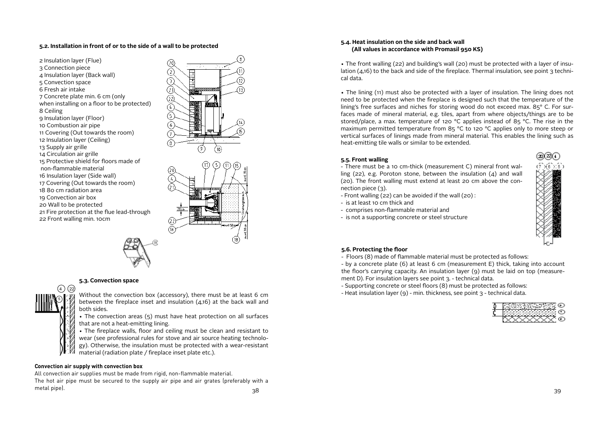## **5.2. Installation in front of or to the side of a wall to be protected**







## **5.3. Convection space**



Without the convection box (accessory), there must be at least 6 cm between the fireplace inset and insulation  $(4.16)$  at the back wall and both sides.

• The convection areas (5) must have heat protection on all surfaces that are not a heat-emitting lining.

• The fireplace walls, floor and ceiling must be clean and resistant to wear (see professional rules for stove and air source heating technology). Otherwise, the insulation must be protected with a wear-resistant material (radiation plate / fireplace inset plate etc.).

## **Convection air supply with convection box**

38 39 All convection air supplies must be made from rigid, non-flammable material. The hot air pipe must be secured to the supply air pipe and air grates (preferably with a metal pipe).

## **5.4. Heat insulation on the side and back wall (All values in accordance with Promasil 950 KS)**

• The front walling (22) and building's wall (20) must be protected with a layer of insulation (4,16) to the back and side of the fireplace. Thermal insulation, see point 3 technical data.

• The lining (11) must also be protected with a layer of insulation. The lining does not need to be protected when the fireplace is designed such that the temperature of the lining's free surfaces and niches for storing wood do not exceed max. 85° C. For surfaces made of mineral material, e.g. tiles, apart from where objects/things are to be stored/place, a max. temperature of 120 °C applies instead of 85 °C. The rise in the maximum permitted temperature from 85 °C to 120 °C applies only to more steep or vertical surfaces of linings made from mineral material. This enables the lining such as heat-emitting tile walls or similar to be extended.

## **5.5. Front walling**

- There must be a 10 cm-thick (measurement C) mineral front walling (22), e.g. Poroton stone, between the insulation ( $\Delta$ ) and wall (20). The front walling must extend at least 20 cm above the connection piece (3).

- Front walling (22) can be avoided if the wall (20) :
- is at least 10 cm thick and
- comprises non-flammable material and
- is not a supporting concrete or steel structure



## **5.6. Protecting the floor**

- Floors (8) made of flammable material must be protected as follows:

- by a concrete plate (6) at least 6 cm (measurement E) thick, taking into account the floor's carrying capacity. An insulation layer (9) must be laid on top (measurement D). For insulation layers see point 3. - technical data.

- Supporting concrete or steel floors (8) must be protected as follows:
- Heat insulation layer (9) min. thickness, see point 3 technical data.

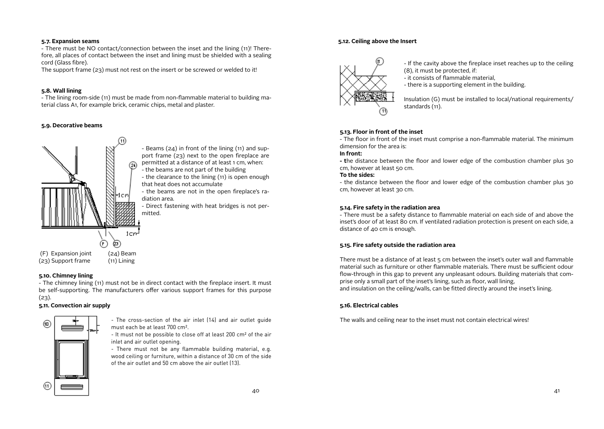## **5.7. Expansion seams**

- There must be NO contact/connection between the inset and the lining (11)! Therefore, all places of contact between the inset and lining must be shielded with a sealing cord (Glass fibre).

The support frame (23) must not rest on the insert or be screwed or welded to it!

## **5.8. Wall lining**

- The lining room-side (11) must be made from non-flammable material to building material class A1, for example brick, ceramic chips, metal and plaster.

## **5.9. Decorative beams**



- Beams (24) in front of the lining (11) and support frame (23) next to the open fireplace are permitted at a distance of at least 1 cm, when: - the beams are not part of the building

- the clearance to the lining (11) is open enough that heat does not accumulate

- the beams are not in the open fireplace's radiation area.

- Direct fastening with heat bridges is not per-

## **5.10. Chimney lining**

- The chimney lining (11) must not be in direct contact with the fireplace insert. It must be self-supporting. The manufacturers offer various support frames for this purpose  $(23)$ .

## **5.11. Convection air supply**



- The cross-section of the air inlet (14) and air outlet guide must each be at least 700 cm².

- It must not be possible to close off at least 200 cm² of the air inlet and air outlet opening.

- There must not be any flammable building material, e.g. wood ceiling or furniture, within a distance of 30 cm of the side of the air outlet and 50 cm above the air outlet (13).

## **5.12. Ceiling above the Insert**



- If the cavity above the fireplace inset reaches up to the ceiling (8), it must be protected, if:

- it consists of flammable material,

- there is a supporting element in the building.

Insulation (G) must be installed to local/national requirements/ standards (11).

## **5.13. Floor in front of the inset**

- The floor in front of the inset must comprise a non-flammable material. The minimum dimension for the area is:

## **In front:**

**- t**he distance between the floor and lower edge of the combustion chamber plus 30 cm, however at least 50 cm.

## **To the sides:**

- the distance between the floor and lower edge of the combustion chamber plus 30 cm, however at least 30 cm.

## **5.14. Fire safety in the radiation area**

- There must be a safety distance to flammable material on each side of and above the inset's door of at least 80 cm. If ventilated radiation protection is present on each side, a distance of 40 cm is enough.

## **5.15. Fire safety outside the radiation area**

There must be a distance of at least 5 cm between the inset's outer wall and flammable material such as furniture or other flammable materials. There must be sufficient odour flow-through in this gap to prevent any unpleasant odours. Building materials that comprise only a small part of the inset's lining, such as floor, wall lining, and insulation on the ceiling/walls, can be fitted directly around the inset's lining.

## **5.16. Electrical cables**

The walls and ceiling near to the inset must not contain electrical wires!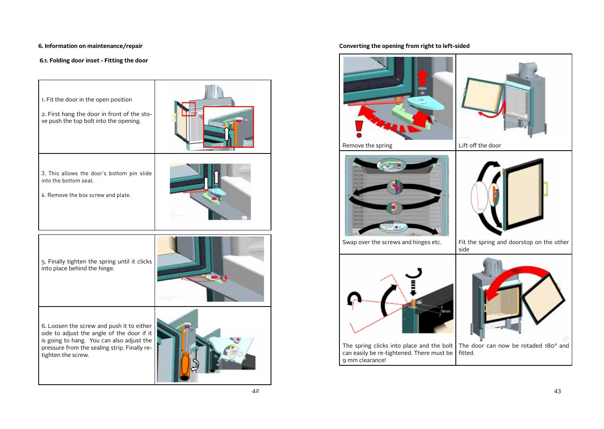## **6. Information on maintenance/repair**

## **6.1. Folding door inset - Fitting the door**



## **Converting the opening from right to left-sided**

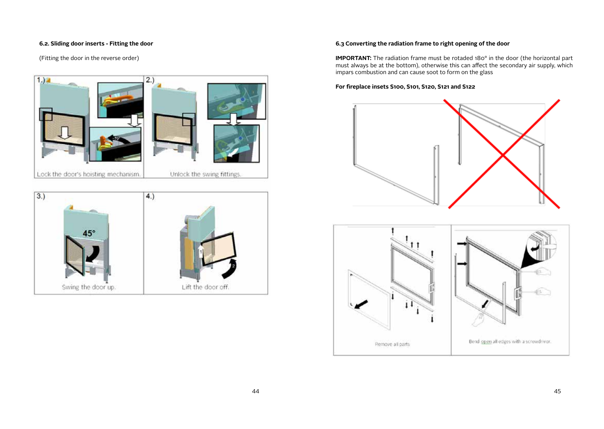## **6.2. Sliding door inserts - Fitting the door**

(Fitting the door in the reverse order)

# $1.1<sup>2</sup>$  $(2.)$ Lock the door's hoisting mechanism. Unlock the swing fittings.



## **6.3 Converting the radiation frame to right opening of the door**

**IMPORTANT:** The radiation frame must be rotaded 180° in the door (the horizontal part must always be at the bottom), otherwise this can affect the secondary air supply, which impars combustion and can cause soot to form on the glass

## **For fireplace insets S100, S101, S120, S121 and S122**



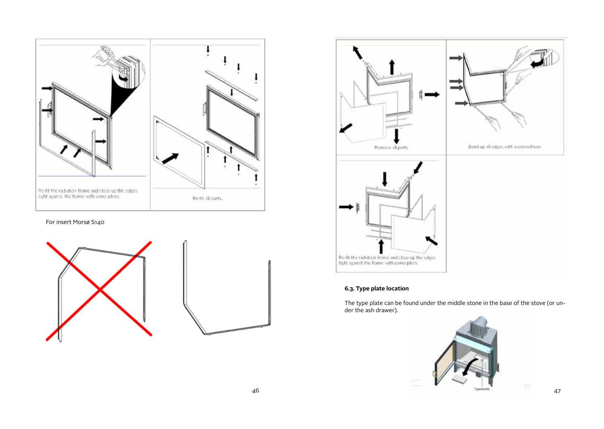

For insert Morsø S140





## **6.3. Type plate location**

The type plate can be found under the middle stone in the base of the stove (or under the ash drawer).